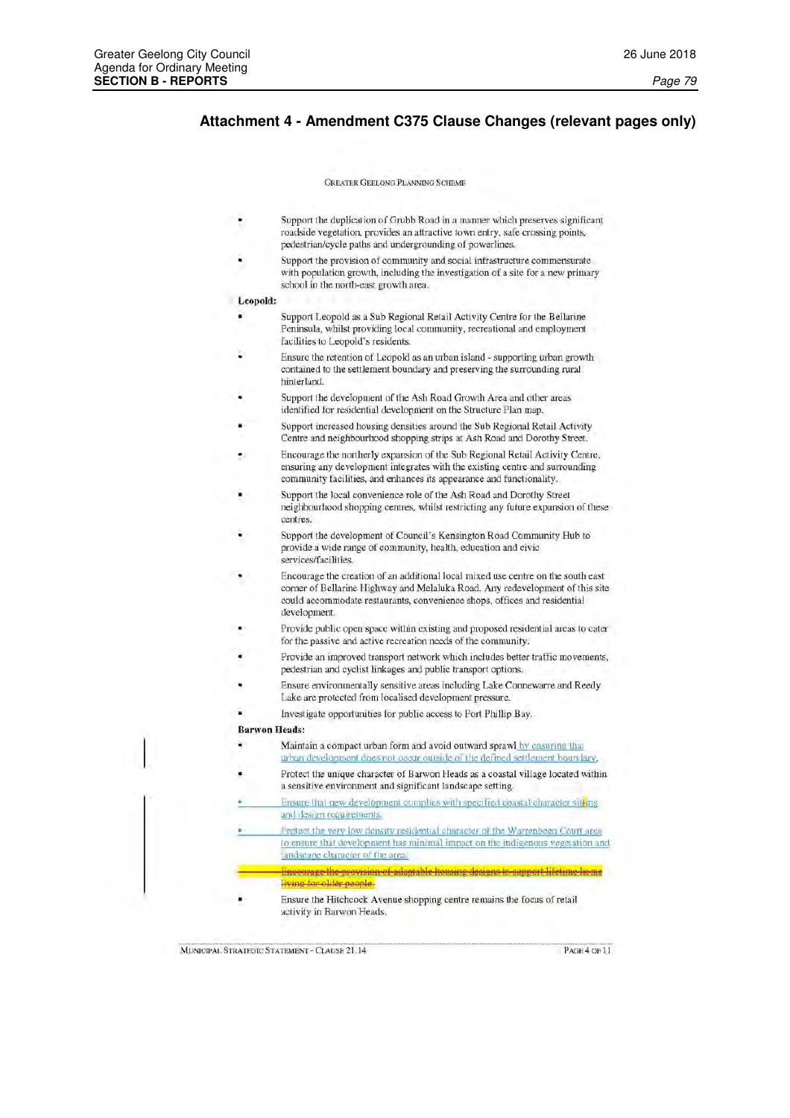# Attachment 4 - Amendment C375 Clause Changes (relevant pages only)

**GREATER GEELONG PLANNING SCHEME** 

- Support the duplication of Grubb Road in a manner which preserves significant roadside vegetation, provides an attractive town entry, safe crossing points, pedestrian/cycle paths and undergrounding of powerlines.
- Support the provision of community and social infrastructure commensurate with population growth, including the investigation of a site for a new primary school in the north-east growth area.

#### Leopold:

- Support Leopold as a Sub Regional Retail Activity Centre for the Bellarine Peninsula, whilst providing local community, recreational and employment facilities to Leopold's residents.
- Ensure the retention of Leopold as an urban island supporting urban growth contained to the settlement boundary and preserving the surrounding rural hinterland.
- Support the development of the Ash Road Growth Area and other areas identified for residential development on the Structure Plan map.
- Support increased housing densities around the Sub Regional Retail Activity Centre and neighbourhood shopping strips at Ash Road and Dorothy Street.
- Encourage the northerly expansion of the Sub Regional Retail Activity Centre, ensuring any development integrates with the existing centre and surrounding community facilities, and enhances its appearance and functionality.
- Support the local convenience role of the Ash Road and Dorothy Street neighbourhood shopping centres, whilst restricting any future expansion of these centres.
- Support the development of Council's Kensington Road Community Hub to provide a wide range of community, health, education and civic services/facilities.
- Encourage the creation of an additional local mixed use centre on the south east corner of Bellarine Highway and Melaluka Road. Any redevelopment of this site could accommodate restaurants, convenience shops, offices and residential development.
- Provide public open space within existing and proposed residential areas to cater for the passive and active recreation needs of the community.
- Provide an improved transport network which includes better traffic movements, pedestrian and cyclist linkages and public transport options.
- Ensure environmentally sensitive areas including Lake Connewarre and Reedy Lake are protected from localised development pressure.
- Investigate opportunities for public access to Port Phillip Bay.

## **Barwon Heads:**

- Ŷ. Maintain a compact urban form and avoid outward sprawl by ensuring that urban development does not occur outside of the defined settlement boundary.
- Protect the unique character of Barwon Heads as a coastal village located within a sensitive environment and significant landscape setting.
- Ensure that new development complies with specified coastal character sitting and design requirements.
- Protect the very low density residential character of the Warrenbeen Court area to ensure that development has minimal impact on the indigenous vegetation and landscape character of the area.
	-
- Ensure the Hitchcock Avenue shopping centre remains the focus of retail activity in Barwon Heads.

MUNICIPAL STRATEGIC STATEMENT - CLAUSE 21.14

PAGE 4 OF 11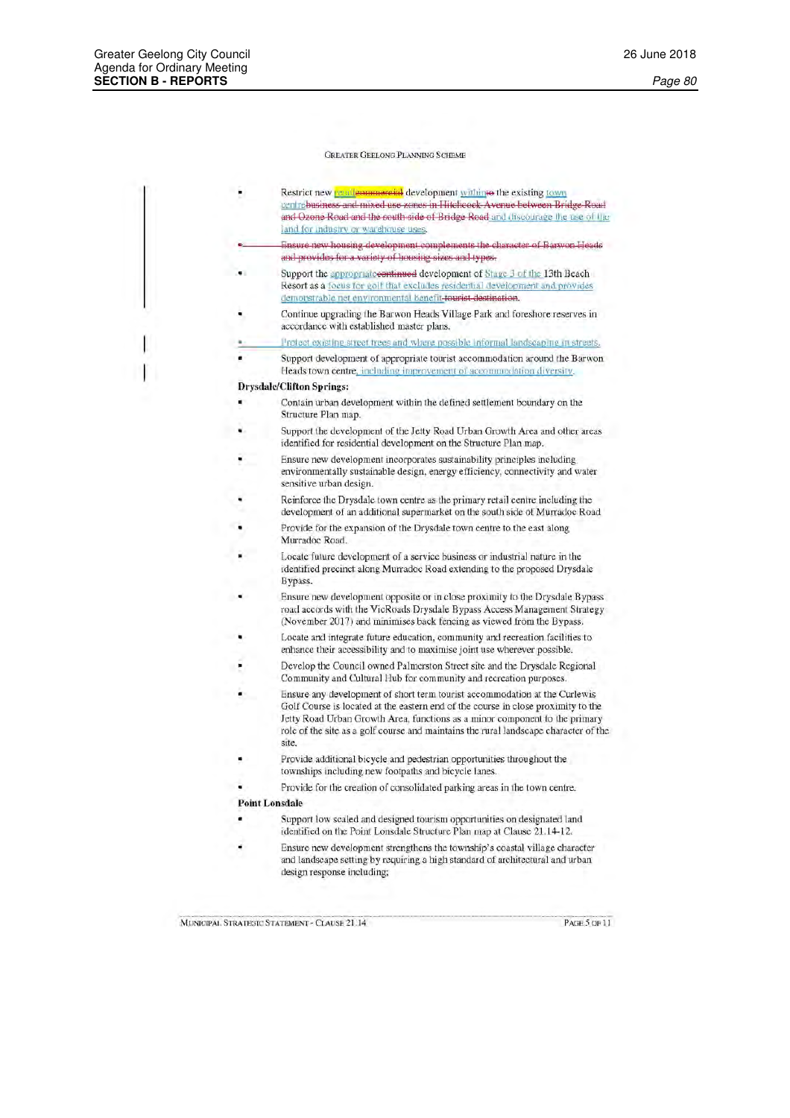| Restrict new <b>retailemmergial</b> development withinto the existing town     |
|--------------------------------------------------------------------------------|
| centrebusiness and mixed use zones in Hitchcock Avenue between Bridge Road     |
| and Ozone Road and the south side of Bridge Road and discourage the use of the |
| land for industry or warehouse uses.                                           |

- Ensure new housing development complements the character of Barwon Heads and provides for a variety of housing sizes and types.
- Support the appropriatecontinued development of Stage 3 of the 13th Beach Resort as a focus for golf that excludes residential development and provides demonstrable net environmental benefit-tourist destination.
- Continue upgrading the Barwon Heads Village Park and foreshore reserves in accordance with established master plans.
- Protect existing street trees and where possible informal landscaping in streets.

Support development of appropriate tourist accommodation around the Barwon Heads town centre, including improvement of accommodation diversity.

# **Drysdale/Clifton Springs:**

- Contain urban development within the defined settlement boundary on the Structure Plan map.
- Support the development of the Jetty Road Urban Growth Area and other areas identified for residential development on the Structure Plan map.
- Ensure new development incorporates sustainability principles including environmentally sustainable design, energy efficiency, connectivity and water sensitive urban design.
- Reinforce the Drysdale town centre as the primary retail centre including the development of an additional supermarket on the south side of Murradoc Road
- Provide for the expansion of the Drysdale town centre to the east along Murradoc Road.
- Locate future development of a service business or industrial nature in the identified precinct along Murradoc Road extending to the proposed Drysdale **Bypass**
- Ensure new development opposite or in close proximity to the Drysdale Bypass road accords with the VicRoads Drysdale Bypass Access Management Strategy (November 2017) and minimises back fencing as viewed from the Bypass.
- Locate and integrate future education, community and recreation facilities to enhance their accessibility and to maximise joint use wherever possible.
- Develop the Council owned Palmerston Street site and the Drysdale Regional Community and Cultural Hub for community and recreation purposes.
- Ensure any development of short term tourist accommodation at the Curlewis Golf Course is located at the eastern end of the course in close proximity to the Jetty Road Urban Growth Area, functions as a minor component to the primary role of the site as a golf course and maintains the rural landscape character of the site.
- Provide additional bicycle and pedestrian opportunities throughout the townships including new footpaths and bicycle lanes.
- Provide for the creation of consolidated parking areas in the town centre.

# **Point Lonsdale**

- Support low scaled and designed tourism opportunities on designated land identified on the Point Lonsdale Structure Plan map at Clause 21.14-12.
- Ensure new development strengthens the township's coastal village character and landscape setting by requiring a high standard of architectural and urban design response including;

MUNICIPAL STRATEGIC STATEMENT - CLAUSE 21.14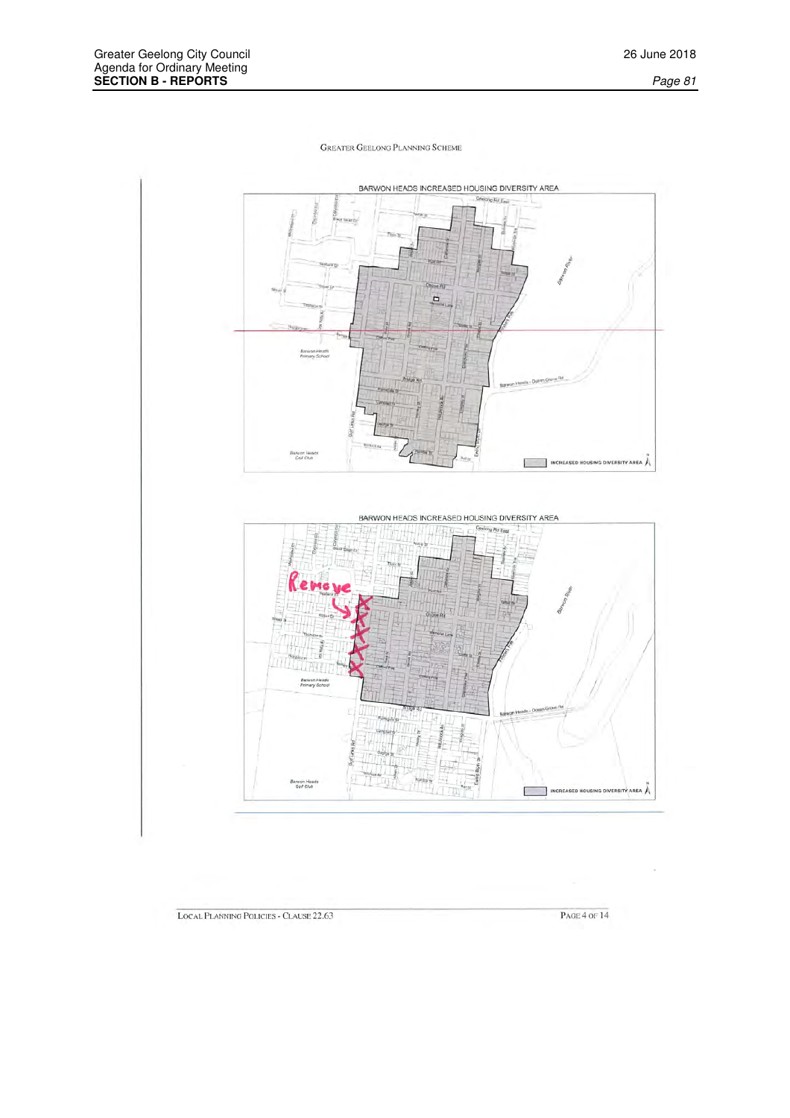

LOCAL PLANNING POLICIES - CLAUSE 22.63

**PAGE 4 OF 14**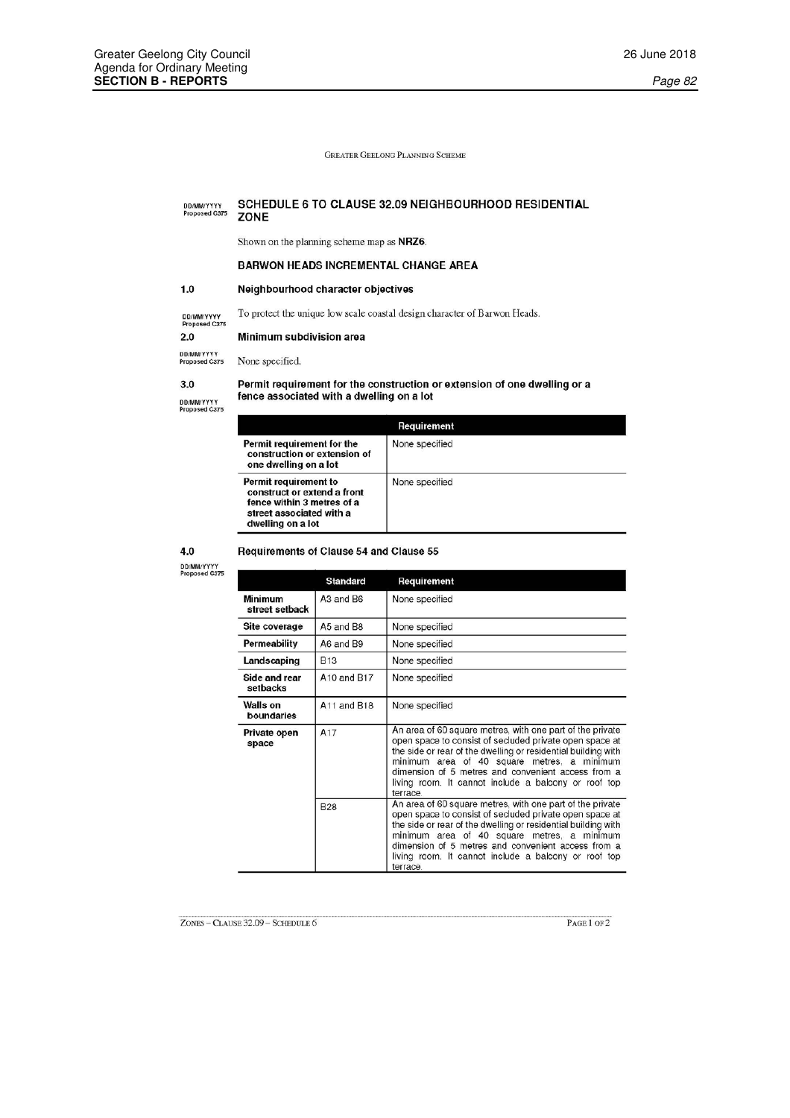#### SCHEDULE 6 TO CLAUSE 32.09 NEIGHBOURHOOD RESIDENTIAL DD/MM/YYYY<br>Proposed C375 ZONE

Shown on the planning scheme map as NRZ6.

Requirements of Clause 54 and Clause 55

# **BARWON HEADS INCREMENTAL CHANGE AREA**

#### $1.0$ Neighbourhood character objectives

To protect the unique low scale coastal design character of Barwon Heads.

DD/MM/YYYY<br>Proposed C375

# Minimum subdivision area

DD/MMYYYYY<br>Proposed C375 None specified.

# $3.0$

 $2.0$ 

DD/MMYYYYY<br>Proposed C375

# Permit requirement for the construction or extension of one dwelling or a fence associated with a dwelling on a lot

| Requirement                                                                                                                         |                |  |  |  |
|-------------------------------------------------------------------------------------------------------------------------------------|----------------|--|--|--|
| Permit requirement for the<br>construction or extension of<br>one dwelling on a lot                                                 | None specified |  |  |  |
| Permit requirement to<br>construct or extend a front<br>fence within 3 metres of a<br>street associated with a<br>dwelling on a lot | None specified |  |  |  |

4.0

DD/MM/YYYY<br>Proposed C375

#### Standard Requirement Minimum A3 and B6 None specified street setback Site coverage A5 and B8 None specified Permeability A6 and B9 None specified Landscaping **B13** None specified Side and rear A10 and B17 None specified setbacks Walls on A11 and B18 None specified boundaries Private open space

| A <sub>17</sub> | An area of 60 square metres, with one part of the private<br>open space to consist of secluded private open space at<br>the side or rear of the dwelling or residential building with<br>minimum area of 40 square metres, a minimum<br>dimension of 5 metres and convenient access from a<br>living room. It cannot include a balcony or roof top<br>terrace. |
|-----------------|----------------------------------------------------------------------------------------------------------------------------------------------------------------------------------------------------------------------------------------------------------------------------------------------------------------------------------------------------------------|
| <b>B28</b>      | An area of 60 square metres, with one part of the private<br>open space to consist of secluded private open space at<br>the side or rear of the dwelling or residential building with<br>minimum area of 40 square metres, a minimum<br>dimension of 5 metres and convenient access from a<br>living room. It cannot include a balcony or roof top<br>terrace. |

PAGE 1 OF 2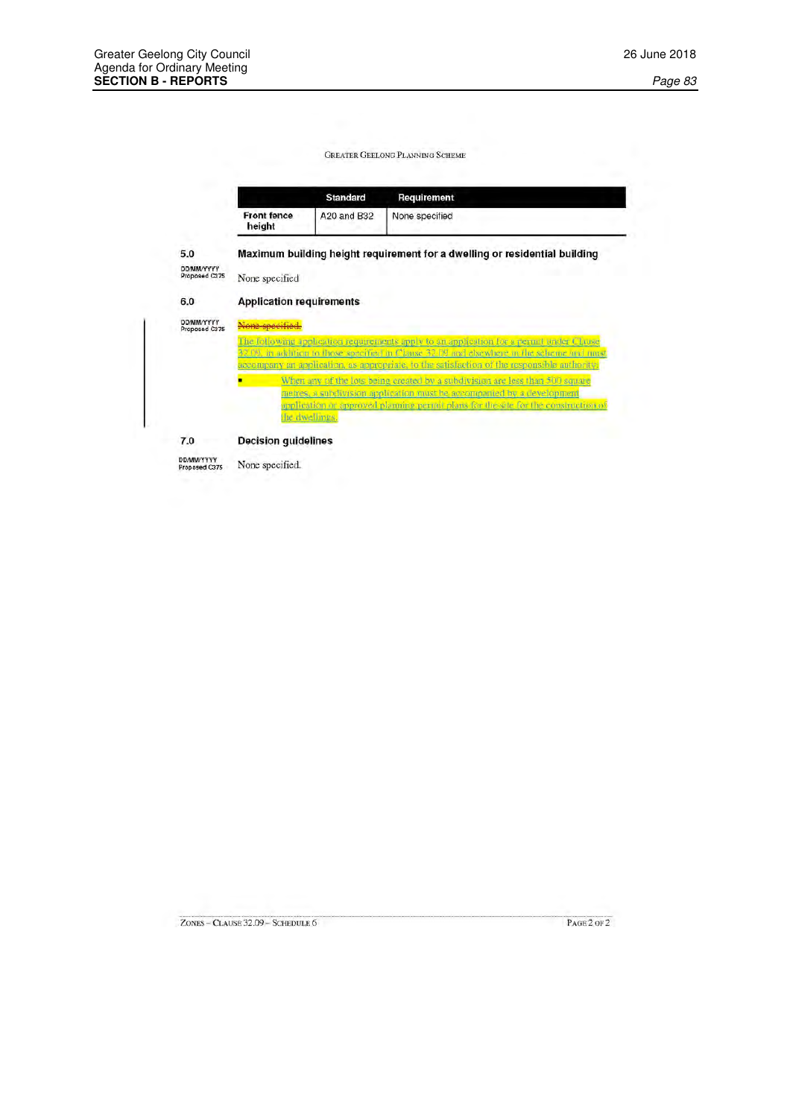| Maximum building height requirement for a dwelling or residential building                                                                                                             |  |  |  |  |  |
|----------------------------------------------------------------------------------------------------------------------------------------------------------------------------------------|--|--|--|--|--|
| None specified                                                                                                                                                                         |  |  |  |  |  |
| <b>Application requirements</b>                                                                                                                                                        |  |  |  |  |  |
| ne specified.<br>Proposed C375                                                                                                                                                         |  |  |  |  |  |
| The following application requirements apply to an application for a permit under Clause<br>32.09, in addition to those specified in Clause 32.09 and elsewhere in the scheme and must |  |  |  |  |  |
| accompany an application, as appropriate, to the satisfaction of the responsible authority;                                                                                            |  |  |  |  |  |
| When any of the lots being created by a subdivision are less than 500 square                                                                                                           |  |  |  |  |  |
| metres, a subdivision application must be accompanied by a development<br>application or approved planning permit plans for the site for the construction of                           |  |  |  |  |  |
|                                                                                                                                                                                        |  |  |  |  |  |
|                                                                                                                                                                                        |  |  |  |  |  |

ZONES - CLAUSE 32.09 - SCHEDULE 6

 $PAGE 2 OF 2$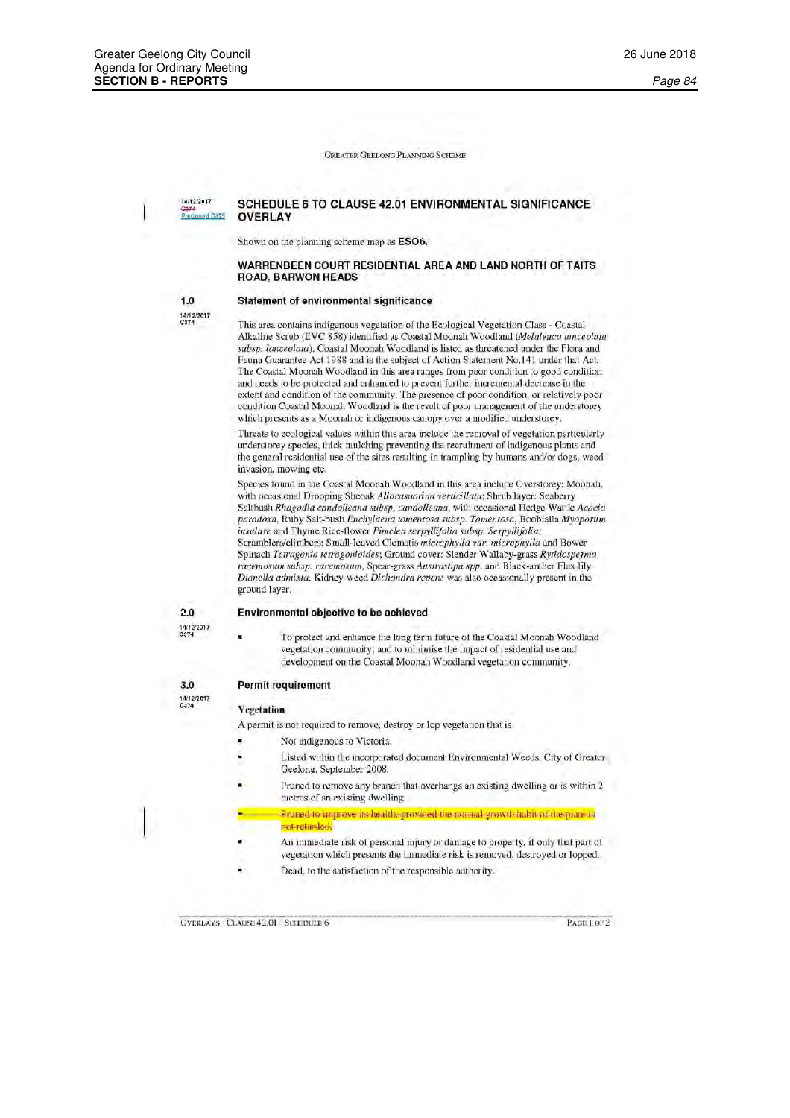14/12/2017 Proposed Ca75

# SCHEDULE 6 TO CLAUSE 42.01 ENVIRONMENTAL SIGNIFICANCE **OVERLAY**

Shown on the planning scheme map as ESO6.

# WARRENBEEN COURT RESIDENTIAL AREA AND LAND NORTH OF TAITS **ROAD, BARWON HEADS**

### Statement of environmental significance

 $1,0$ 14/12/2017<br>C374

This area contains indigenous vegetation of the Ecological Vegetation Class - Coastal Alkaline Scrub (EVC 858) identified as Coastal Moonah Woodland (Melaleuca lanceolata subsp. lanceolata). Coastal Moonah Woodland is listed as threatened under the Flora and Fauna Guarantee Act 1988 and is the subject of Action Statement No.141 under that Act. The Coastal Moonah Woodland in this area ranges from poor condition to good condition and needs to be protected and enhanced to prevent further incremental decrease in the extent and condition of the community. The presence of poor condition, or relatively poor condition Coastal Moonah Woodland is the result of poor management of the understorey which presents as a Moonah or indigenous canopy over a modified understorey.

Threats to ecological values within this area include the removal of vegetation particularly understorey species, thick mulching preventing the recruitment of indigenous plants and the general residential use of the sites resulting in trampling by humans and/or dogs, weed invasion, mowing etc.

Species found in the Coastal Moonah Woodland in this area include Overstorey; Moonah, with occasional Drooping Sheoak Allocasuarina verticillata; Shrub layer: Seaberry Saltbush Rhagodia candolleana subsp. candolleana, with occasional Hedge Wattle Acacia paradoxa, Ruby Salt-bush Enchylaena tomentosa subsp. Tomentosa, Boobialla Myoporum insulare and Thyme Rice-flower Pimelea serpyllifolia subsp. Serpyllifolia; Scramblers/climbers: Small-leaved Clematis microphylla var. microphylla and Bower Spinach Tetragonia tetragonioides; Ground cover: Slender Wallaby-grass Rytidosperma racemosum subsp. racemosum, Spear-grass Austrostipa spp. and Black-anther Flax lily Dianella admixta. Kidney-weed Dichondra repens was also occasionally present in the ground layer.

### Environmental objective to be achieved

 $2.0$ 14/12/2017<br>C374

 $3.0$ 

14/12/2017<br>C374

To protect and enhance the long term future of the Coastal Moonah Woodland vegetation community; and to minimise the impact of residential use and development on the Coastal Moonah Woodland vegetation community.

### Permit requirement

#### Vegetation

A permit is not required to remove, destroy or lop vegetation that is:

- Not indigenous to Victoria.
- Listed within the incorporated document Environmental Weeds, City of Greater Geelong, September 2008.
- Pruned to remove any branch that overhangs an existing dwelling or is within 2 metres of an existing dwelling.

Pruned to unprove its health, provided the normal growth habit of the plant is not retarded.

- An immediate risk of personal injury or damage to property, if only that part of vegetation which presents the immediate risk is removed, destroved or lopped.
- Dead, to the satisfaction of the responsible authority.

OVERLAYS - CLAUSE 42.01 - SCHEDULE 6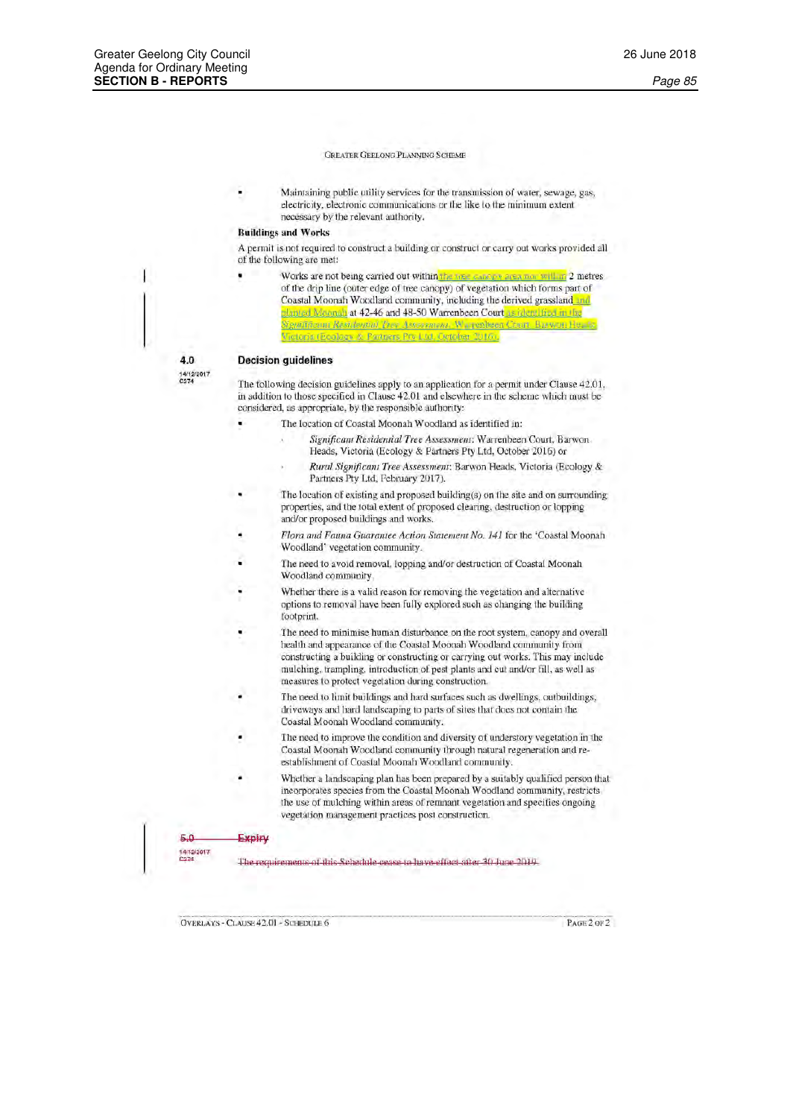Maintaining public utility services for the transmission of water, sewage, gas, electricity, electronic communications or the like to the minimum extent necessary by the relevant authority.

# **Buildings and Works**

A permit is not required to construct a building or construct or carry out works provided all of the following are met:

Works are not being carried out within the time cannon area non within 2 metres of the drip line (outer edge of tree canopy) of vegetation which forms part of Coastal Moonah Woodland community, including the derived grassland and planted Moonah at 42-46 and 48-50 Warrenbeen Court as identified in the Significant Residential Tree Assessment, Warrenbeen Court **Barwon Head** ictoria (Ecology & Partners Pry Ltd. October 2016).

40 14/12/2017<br>C374

# **Decision guidelines**

The following decision guidelines apply to an application for a permit under Clause 42.01. in addition to those specified in Clause 42.01 and elsewhere in the scheme which must be considered, as appropriate, by the responsible authority:

- The location of Coastal Moonah Woodland as identified in:
	- Significant Residential Tree Assessment: Warrenbeen Court, Barwon Heads, Victoria (Ecology & Partners Pty Ltd, October 2016) or Rural Significant Tree Assessment: Barwon Heads, Victoria (Ecology & Partners Pty Ltd, February 2017).
- The location of existing and proposed building(s) on the site and on surrounding properties, and the total extent of proposed clearing, destruction or lopping and/or proposed buildings and works.
- Flora and Fauna Guarantee Action Statement No. 141 for the 'Coastal Moonah Woodland' vegetation community.
- The need to avoid removal, lopping and/or destruction of Coastal Moonah Woodland community.
- Whether there is a valid reason for removing the vegetation and alternative options to removal have been fully explored such as changing the building footprint.
- The need to minimise human disturbance on the root system, canopy and overall health and appearance of the Coastal Moonah Woodland community from constructing a building or constructing or carrying out works. This may include mulching, trampling, introduction of pest plants and cut and/or fill, as well as measures to protect vegetation during construction.
- The need to limit buildings and hard surfaces such as dwellings, outbuildings, driveways and hard landscaping to parts of sites that does not contain the Coastal Moonah Woodland community.
- The need to improve the condition and diversity of understory vegetation in the Coastal Moonah Woodland community through natural regeneration and reestablishment of Coastal Moonah Woodland community.
- Whether a landscaping plan has been prepared by a suitably qualified person that incorporates species from the Coastal Moonah Woodland community, restricts the use of mulching within areas of remnant vegetation and specifies ongoing vegetation management practices post construction.

#### Expiry

5.0 14/12/2017<br>Card

The requirements of this Schedule cease to have effect after 30 June 2019.

**OVERLAYS - CLAUSE 42.01 - SCHEDULE 6** 

**PAGE 2 OF 2**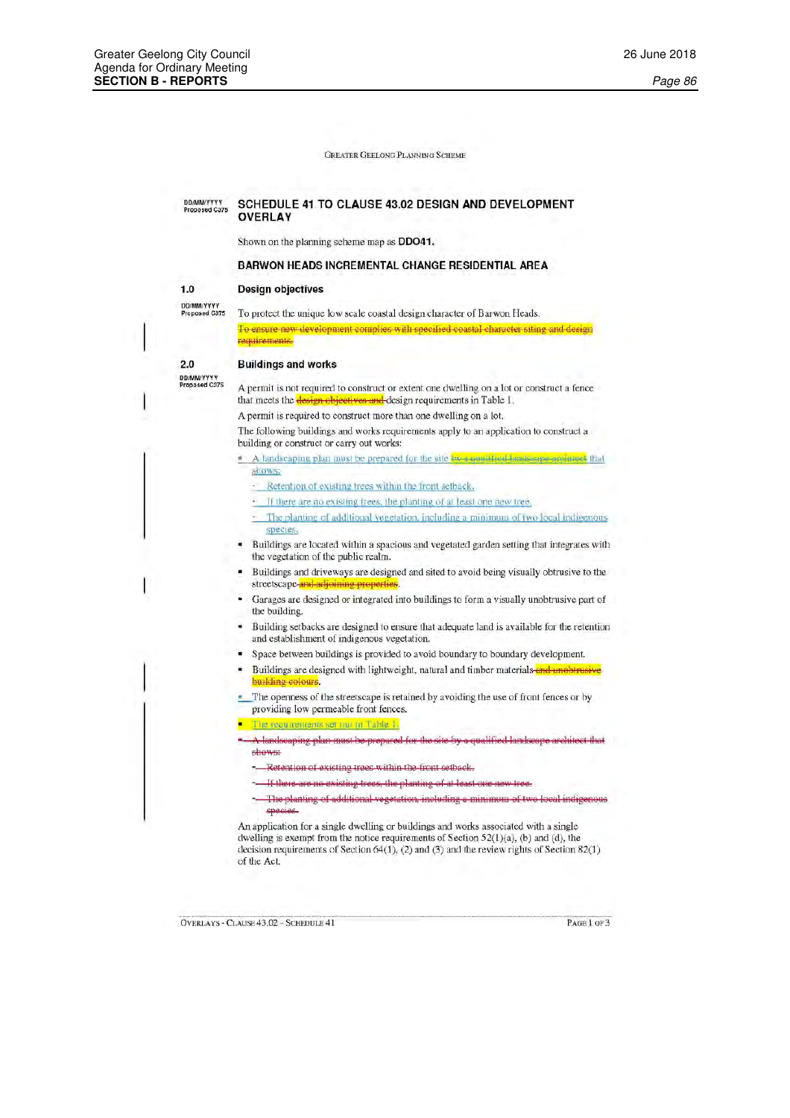#### DD/MMYYYYY<br>Proposed C375 SCHEDULE 41 TO CLAUSE 43.02 DESIGN AND DEVELOPMENT **OVERLAY**

Shown on the planning scheme map as **DDO41**.

# BARWON HEADS INCREMENTAL CHANGE RESIDENTIAL AREA

#### **Design objectives**

DD/MM/YYYY<br>Proposed C375

 $1.0$ 

 $2.0$ 

To protect the unique low scale coastal design character of Barwon Heads. To ensure new development complies with specified coastal character siting and design requirements.

# **Buildings and works**

÷,

DD/MMYYYYY<br>Proposed C375

A permit is not required to construct or extent one dwelling on a lot or construct a fence that meets the design objectives and design requirements in Table 1.

A permit is required to construct more than one dwelling on a lot.

The following buildings and works requirements apply to an application to construct a building or construct or carry out works:

A landscaping plan must be prepared for the site by a qualified landscape and latest that stiows:

- Retention of existing trees within the front setback. Ξ
	- If there are no existing frees, the planting of at least one new free,

The planting of additional vegetation, including a minimum of two local indigenous species.

Buildings are located within a spacious and vegetated garden setting that integrates with the vegetation of the public realm.

Buildings and driveways are designed and sited to avoid being visually obtrusive to the streetscape and adjoining properti

 $\ddot{\phantom{0}}$ Garages are designed or integrated into buildings to form a visually unobtrusive part of the building.

Building setbacks are designed to ensure that adequate land is available for the retention and establishment of indigenous vegetation.

Space between buildings is provided to avoid boundary to boundary development. ٠

Buildings are designed with lightweight, natural and timber materials-an

The openness of the streetscape is retained by avoiding the use of front fences or by providing low permeable front fences.

The requirements set out in Table 1.

A landscaping plan must be prepared for the site by a qualified landscape architect that shows:

Retention of existing trees within the front setback.

If there are no existing trees, the planting of at least one ne

The planting of additional vegetation, including a minimum of two loc species.

An application for a single dwelling or buildings and works associated with a single dwelling is exempt from the notice requirements of Section 52(1)(a), (b) and (d), the decision requirements of Section  $64(1)$ , (2) and (3) and the review rights of Section  $82(1)$ of the Act.

**OVERLAYS - CLAUSE 43.02 - SCHEDULE 41** 

PAGE 1 OF 3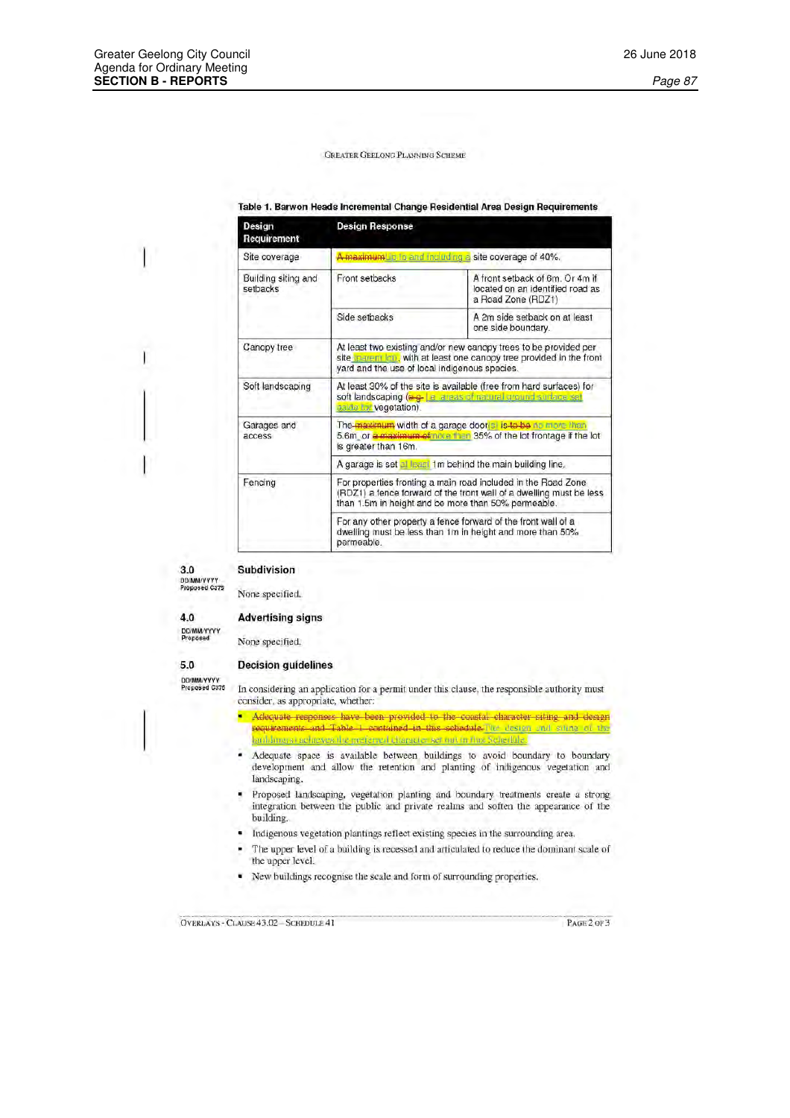# Table 1. Barwon Heads Incremental Change Residential Area Design Requirements

| Design<br>Requirement           | <b>Design Response</b>                                                                                                                                                                             |                                                                                           |  |
|---------------------------------|----------------------------------------------------------------------------------------------------------------------------------------------------------------------------------------------------|-------------------------------------------------------------------------------------------|--|
| Site coverage                   |                                                                                                                                                                                                    | A maximumUp to and including a site coverage of 40%.                                      |  |
| Building siting and<br>setbacks | Front setbacks                                                                                                                                                                                     | A front setback of 6m. Or 4m if<br>located on an identified road as<br>a Road Zone (RDZ1) |  |
|                                 | Side setbacks                                                                                                                                                                                      | A 2m side setback on at least<br>one side boundary.                                       |  |
| Canopy tree                     | At least two existing and/or new canopy trees to be provided per<br>site <b>Iparent lon</b> , with at least one canopy tree provided in the front<br>yard and the use of local indigenous species. |                                                                                           |  |
| Soft landscaping                | At least 30% of the site is available (free from hard surfaces) for<br>soft landscaping (e.g. Le areas of natural ground surface set<br>askle for vegetation).                                     |                                                                                           |  |
| Garages and<br>access           | The maximum width of a garage door's is to be no more than<br>5.6m or a maximum of note than 35% of the lot frontage if the lot<br>is greater than 16m.                                            |                                                                                           |  |
|                                 | A garage is set al least 1m behind the main building line,                                                                                                                                         |                                                                                           |  |
| Fencing                         | For properties fronting a main road included in the Road Zone<br>(RDZ1) a fence forward of the front wall of a dwelling must be less<br>than 1.5m in height and be more than 50% permeable.        |                                                                                           |  |
|                                 | For any other property a fence forward of the front wall of a<br>dwelling must be less than 1m in height and more than 50%<br>permeable.                                                           |                                                                                           |  |

 $3.0$ 

### Subdivision

DD/MM/YYYY<br>Proposed C375

None specified.

 $4.0$ DD/MM/YYYY<br>Proposed

 $5.0$ 

# **Advertising signs**

None specified.

# **Decision guidelines**

DD/MM/YYYY<br>Proposed G375

In considering an application for a permit under this clause, the responsible authority must consider, as appropriate, whether:

- Adequate responses have been provided to the coastal character siting and design requirements and Table 1 contained in this schedule.The desten and saling of the midings achieves the preferred tharacteriser out in this Sengdille.
- ٠ Adequate space is available between buildings to avoid boundary to boundary development and allow the retention and planting of indigenous vegetation and landscaping.
- Proposed landscaping, vegetation planting and boundary treatments create a strong integration between the public and private realms and soften the appearance of the building.
- Indigenous vegetation plantings reflect existing species in the surrounding area.  $\bullet$
- The upper level of a building is recessed and articulated to reduce the dominant scale of ٠ the upper level.
- ٠ New buildings recognise the scale and form of surrounding properties.

OVERLAYS - CLAUSE 43.02 - SCHEDULE 41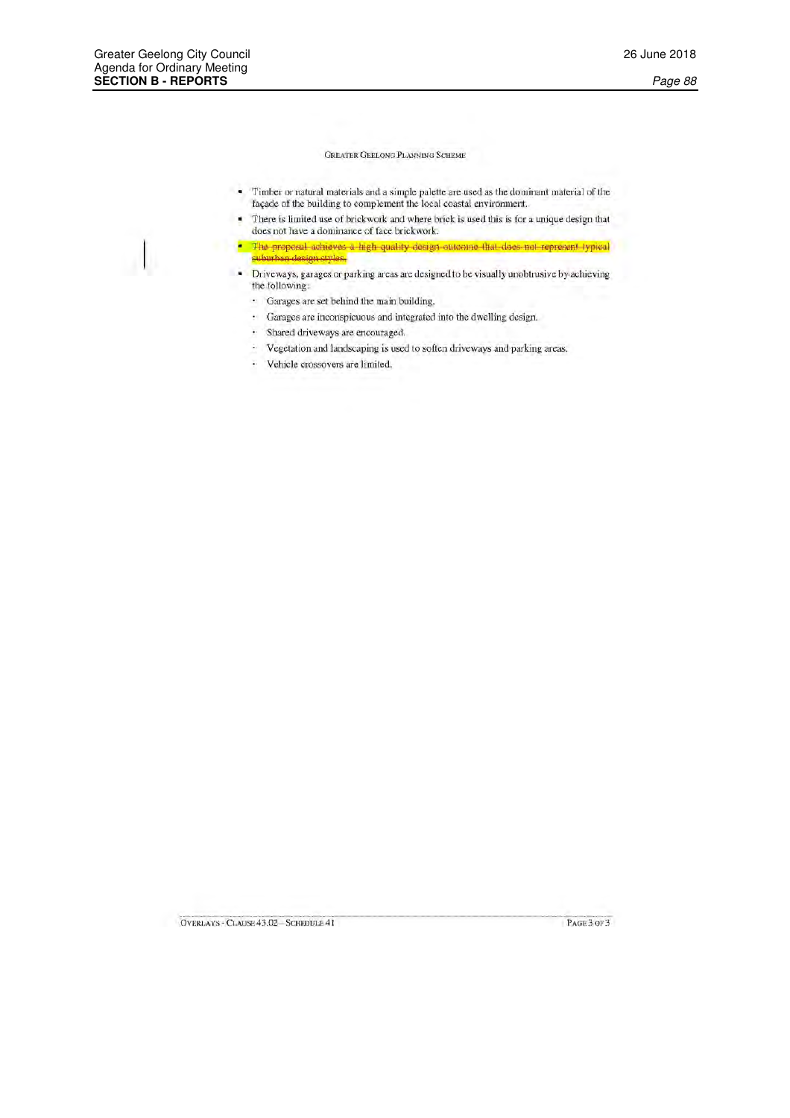- Timber or natural materials and a simple palette are used as the dominant material of the × façade of the building to complement the local coastal environment.
- There is limited use of brickwork and where brick is used this is for a unique design that does not have a dominance of face brickwork.
- · The proposal achieves a high quality design attenue that does not represent typical an design styles. subur
- Driveways, garages or parking areas are designed to be visually unobtrusive by achieving the following:
	- · Garages are set behind the main building.
	- · Garages are inconspicuous and integrated into the dwelling design.
	- · Shared driveways are encouraged.
	- · Vegetation and landscaping is used to soften driveways and parking areas.
	- · Vehicle crossovers are limited,



OVERLAYS - CLAUSE 43.02 - SCHEDULE 41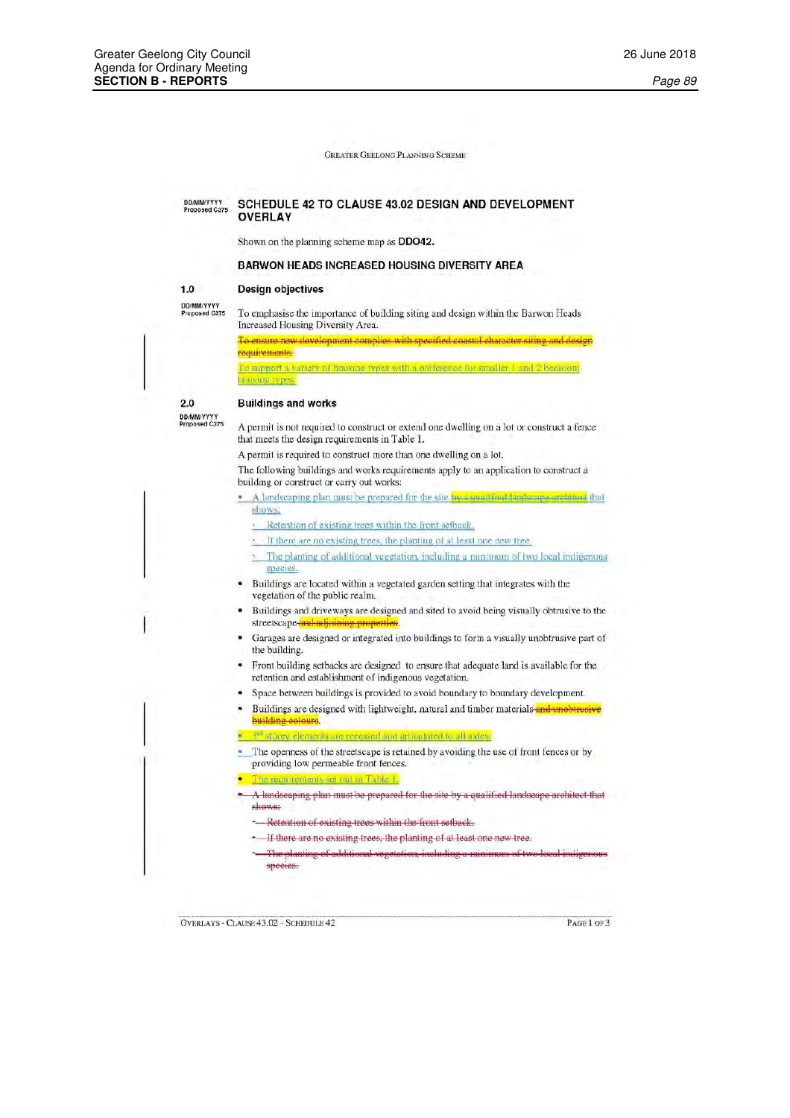#### DD/MMYYYYY<br>Proposed C375 SCHEDULE 42 TO CLAUSE 43.02 DESIGN AND DEVELOPMENT **OVERLAY**

Shown on the planning scheme map as **DDO42.** 

# **BARWON HEADS INCREASED HOUSING DIVERSITY AREA**

#### **Design objectives**

rousing types

DD/MM/YYYY<br>Proposed C375

 $1.0$ 

To emphasise the importance of building siting and design within the Barwon Heads Increased Housing Diversity Area.

To ensure new development complies with specified coastal character siting and design requirements.

To support a variety of housing types with a orderence for smaller 1 and 2 bedroom

# $2.0$

# **Buildings and works**

DD/MM/YYYY<br>Proposed C375

A permit is not required to construct or extend one dwelling on a lot or construct a fence that meets the design requirements in Table 1.

A permit is required to construct more than one dwelling on a lot.

The following buildings and works requirements apply to an application to construct a building or construct or carry out works:

- A landscaping plan must be prepared for the site by a qualitiesd landscape architect that shows:
	- Retention of existing trees within the front setback.
	- . If there are no existing trees, the planting of at least one new tree.
	- The planting of additional vegetation, including a minimum of two local indigenous species.
- Buildings are located within a vegetated garden setting that integrates with the vegetation of the public realm.
- Buildings and driveways are designed and sited to avoid being visually obtrusive to the streetscape and adjoining pr
- Garages are designed or integrated into buildings to form a visually unobtrusive part of the building.
- Front building setbacks are designed to ensure that adequate land is available for the ٠ retention and establishment of indigenous vegetation.
- Space between buildings is provided to avoid boundary to boundary development.
- Buildings are designed with lightweight, natural and timber materials and unobtrusive building colours

<u>torey elements are recessed and articulated to all sides.</u>

- The openness of the streetscape is retained by avoiding the use of front fences or by providing low permeable front fences.
- The requirements set out in Table 1
- A landscaping plan must be prepared for the site by a qualified landscape architect that shows:
- -Retention of existing trees within the front setback.
- If there are no existing trees, the planting of at least one new tree.
- The planting of additional vegetation, including a minimum of ty species.

**OVERLAYS - CLAUSE 43.02 - SCHEDULE 42** 

PAGE 1 OF 3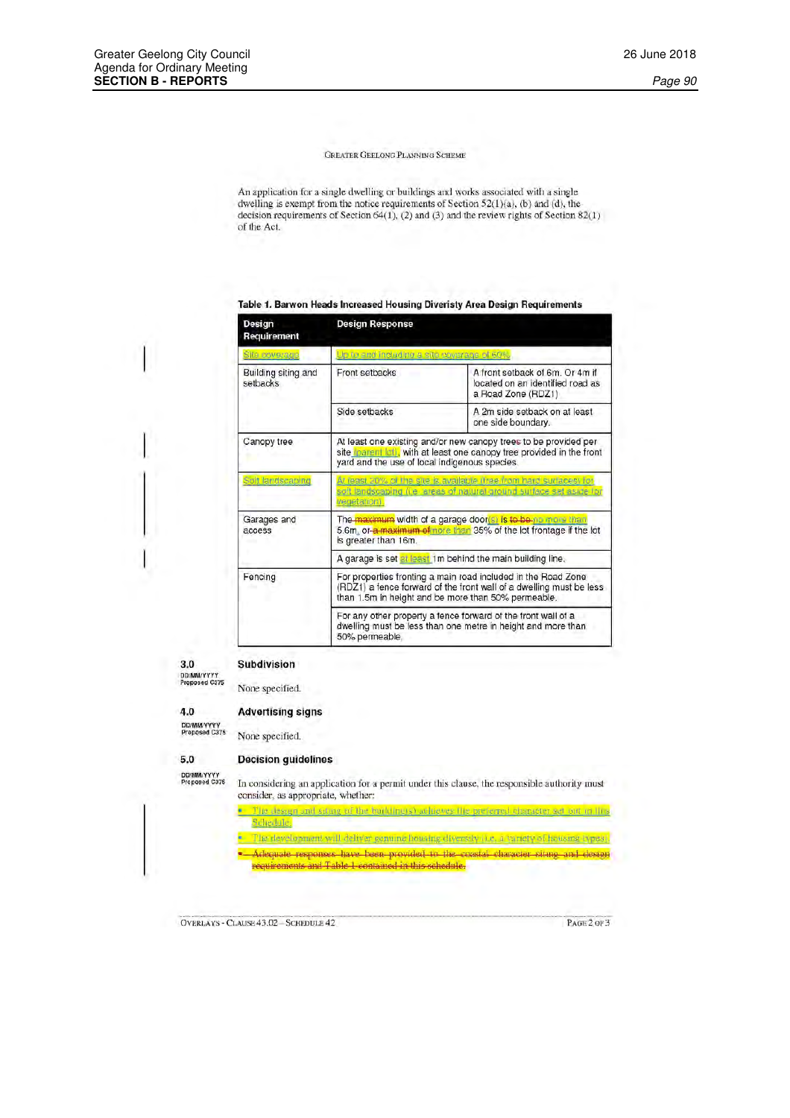An application for a single dwelling or buildings and works associated with a single dwelling is exempt from the notice requirements of Section 52(1)(a), (b) and (d), the decision requirements of Section 64(1), (2) and (3) and the review rights of Section 82(1) of the Act.

# Table 1. Barwon Heads Increased Housing Diveristy Area Design Requirements

| Design<br>Requirement           | <b>Design Response</b>                                                                                                                                                                      |                                                                                           |  |
|---------------------------------|---------------------------------------------------------------------------------------------------------------------------------------------------------------------------------------------|-------------------------------------------------------------------------------------------|--|
| Site coverage                   | Up to and including a site coverage of 60%.                                                                                                                                                 |                                                                                           |  |
| Building siting and<br>setbacks | Front setbacks                                                                                                                                                                              | A front setback of 6m. Or 4m if<br>located on an identified road as<br>a Road Zone (RDZ1) |  |
|                                 | Side setbacks                                                                                                                                                                               | A 2m side setback on at least<br>one side boundary.                                       |  |
| Canopy tree                     | At least one existing and/or new canopy trees to be provided per<br>site (parent lot), with at least one canopy tree provided in the front<br>yard and the use of local indigenous species. |                                                                                           |  |
| Solf landscaping                | At least 20% of the site is available (free from hard surfaces) for<br>soft landscaping (i.e. areas of natural ground surface set aside for<br>vegetation).                                 |                                                                                           |  |
| Garages and<br>access           | The <mark>maximum</mark> width of a garage door <mark>(s) is to be no more than</mark><br>5.6m, or-a maximum of nore than 35% of the lot frontage if the lot<br>is greater than 16m.        |                                                                                           |  |
|                                 | A garage is set at least 1m behind the main building line.                                                                                                                                  |                                                                                           |  |
| Fencing                         | For properties fronting a main road included in the Road Zone<br>(RDZ1) a fence forward of the front wall of a dwelling must be less<br>than 1.5m in height and be more than 50% permeable. |                                                                                           |  |
|                                 | For any other property a fence forward of the front wall of a<br>dwelling must be less than one metre in height and more than<br>50% permeable.                                             |                                                                                           |  |

# $3.0$

DD/MM/YYYY<br>Proposed C375 None specified.

# $4.0$

DD/MMYYYYY<br>Proposed C375

# **Advertising signs**

None specified.

Subdivision

# **Decision guidelines**

DD/MM/YYYY<br>Proposed C375

 $5.0$ 

In considering an application for a permit under this clause, the responsible authority must consider, as appropriate, whether:

The design and siture of the building s) achieves the preferred character set out in lins Schedule.

The development will deliver genuine housing diversity (i.e., a variety of housing types), Adequate responses have been provided to the coastal character siting and design requirements and Table 1 contained in this schedule.

OVERLAYS - CLAUSE 43.02 - SCHEDULE 42

PAGE 2 OF 3